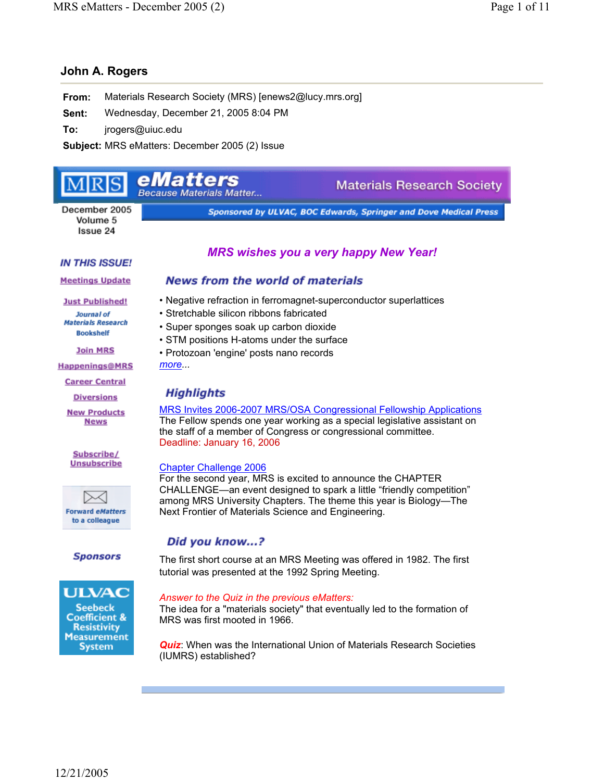# **John A. Rogers**

**From:** Materials Research Society (MRS) [enews2@lucy.mrs.org]

**Sent:** Wednesday, December 21, 2005 8:04 PM

**To:** jrogers@uiuc.edu

**Subject:** MRS eMatters: December 2005 (2) Issue

#### eMatters **Materials Research Society Because Materials Matter...** December 2005 Sponsored by ULVAC, BOC Edwards, Springer and Dove Medical Press Volume 5 Issue 24

## **IN THIS ISSUE!**

**Meetings Update** 

**Just Published!** Journal of **Materials Research Bookshelf** 

**Join MRS** 

**Happenings@MRS** 

**Career Central** 

**Diversions** 

**New Products News** 

Subscribe/ **Unsubscribe** 

 $\scriptstyle\sim$ **Forward eMatters** to a colleague

**Sponsors** 



# **News from the world of materials**

*MRS wishes you a very happy New Year!* 

- 
- Negative refraction in ferromagnet-superconductor superlattices
- Stretchable silicon ribbons fabricated
- Super sponges soak up carbon dioxide
- STM positions H-atoms under the surface
- Protozoan 'engine' posts nano records

*more...*

# Highlights

MRS Invites 2006-2007 MRS/OSA Congressional Fellowship Applications The Fellow spends one year working as a special legislative assistant on the staff of a member of Congress or congressional committee. Deadline: January 16, 2006

# Chapter Challenge 2006

For the second year, MRS is excited to announce the CHAPTER CHALLENGE—an event designed to spark a little "friendly competition" among MRS University Chapters. The theme this year is Biology—The Next Frontier of Materials Science and Engineering.

# Did you know...?

The first short course at an MRS Meeting was offered in 1982. The first tutorial was presented at the 1992 Spring Meeting.

# *Answer to the Quiz in the previous eMatters:*

The idea for a "materials society" that eventually led to the formation of MRS was first mooted in 1966.

*Quiz*: When was the International Union of Materials Research Societies (IUMRS) established?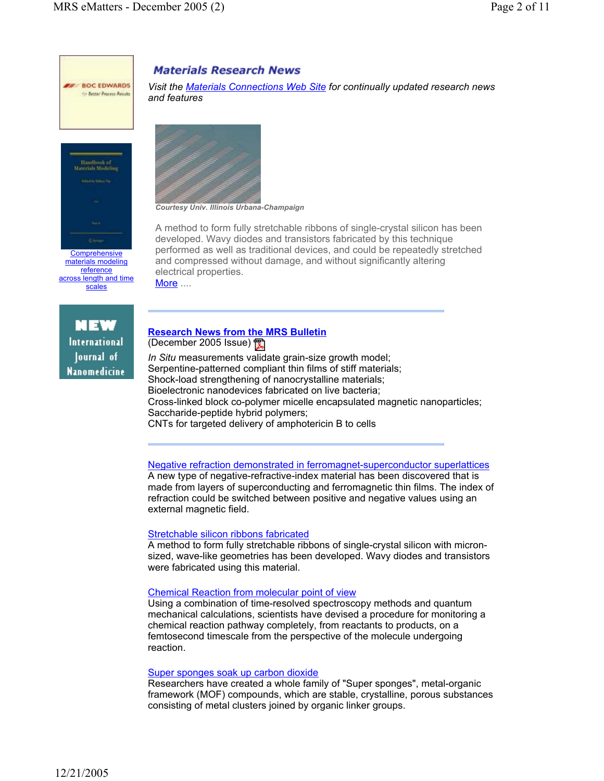



materials modeling reference across length and time scales

NEW International Journal of **Nanomedicine** 

# **Materials Research News**

*Visit the Materials Connections Web Site for continually updated research news and features*



*Courtesy Univ. Illinois Urbana-Champaign*

A method to form fully stretchable ribbons of single-crystal silicon has been developed. Wavy diodes and transistors fabricated by this technique performed as well as traditional devices, and could be repeatedly stretched and compressed without damage, and without significantly altering electrical properties. More ....

## **Research News from the MRS Bulletin** (December 2005 Issue)

*In Situ* measurements validate grain-size growth model; Serpentine-patterned compliant thin films of stiff materials; Shock-load strengthening of nanocrystalline materials; Bioelectronic nanodevices fabricated on live bacteria; Cross-linked block co-polymer micelle encapsulated magnetic nanoparticles; Saccharide-peptide hybrid polymers;

CNTs for targeted delivery of amphotericin B to cells

Negative refraction demonstrated in ferromagnet-superconductor superlattices

A new type of negative-refractive-index material has been discovered that is made from layers of superconducting and ferromagnetic thin films. The index of refraction could be switched between positive and negative values using an external magnetic field.

#### Stretchable silicon ribbons fabricated

A method to form fully stretchable ribbons of single-crystal silicon with micronsized, wave-like geometries has been developed. Wavy diodes and transistors were fabricated using this material.

#### Chemical Reaction from molecular point of view

Using a combination of time-resolved spectroscopy methods and quantum mechanical calculations, scientists have devised a procedure for monitoring a chemical reaction pathway completely, from reactants to products, on a femtosecond timescale from the perspective of the molecule undergoing reaction.

#### Super sponges soak up carbon dioxide

Researchers have created a whole family of "Super sponges", metal-organic framework (MOF) compounds, which are stable, crystalline, porous substances consisting of metal clusters joined by organic linker groups.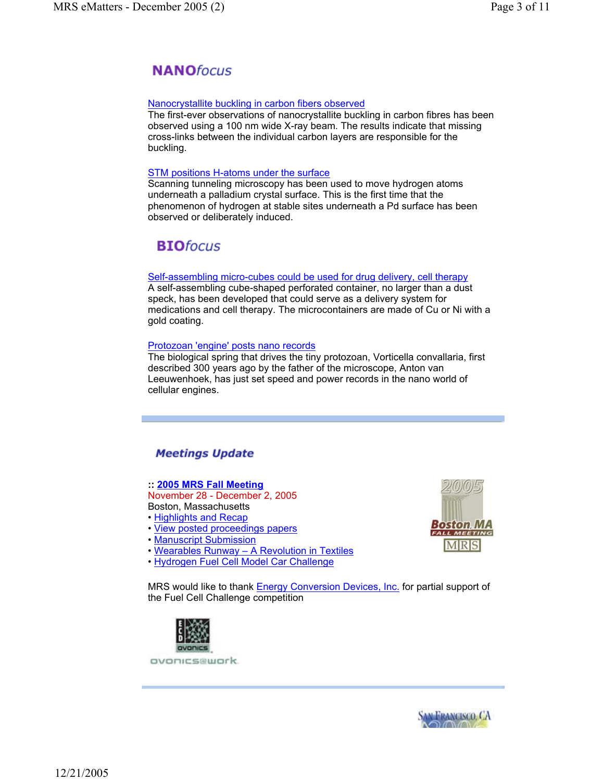# **NANO**focus

#### Nanocrystallite buckling in carbon fibers observed

The first-ever observations of nanocrystallite buckling in carbon fibres has been observed using a 100 nm wide X-ray beam. The results indicate that missing cross-links between the individual carbon layers are responsible for the buckling.

#### STM positions H-atoms under the surface

Scanning tunneling microscopy has been used to move hydrogen atoms underneath a palladium crystal surface. This is the first time that the phenomenon of hydrogen at stable sites underneath a Pd surface has been observed or deliberately induced.

# **BIO**focus

#### Self-assembling micro-cubes could be used for drug delivery, cell therapy

A self-assembling cube-shaped perforated container, no larger than a dust speck, has been developed that could serve as a delivery system for medications and cell therapy. The microcontainers are made of Cu or Ni with a gold coating.

#### Protozoan 'engine' posts nano records

The biological spring that drives the tiny protozoan, Vorticella convallaria, first described 300 years ago by the father of the microscope, Anton van Leeuwenhoek, has just set speed and power records in the nano world of cellular engines.

# **Meetings Update**

# **:: 2005 MRS Fall Meeting**

November 28 - December 2, 2005 Boston, Massachusetts • Highlights and Recap

- View posted proceedings papers
- Manuscript Submission
- Wearables Runway A Revolution in Textiles
- Hydrogen Fuel Cell Model Car Challenge



MRS would like to thank **Energy Conversion Devices, Inc.** for partial support of the Fuel Cell Challenge competition



ovonics@work.

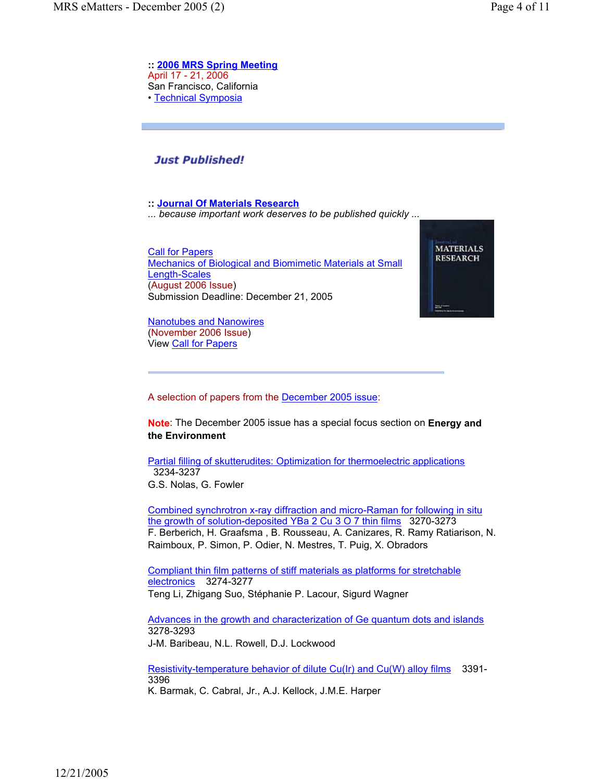**:: 2006 MRS Spring Meeting**  April 17 - 21, 2006 San Francisco, California • Technical Symposia

# **Just Published!**

**:: Journal Of Materials Research** 

*... because important work deserves to be published quickly ...*

Call for Papers Mechanics of Biological and Biomimetic Materials at Small Length-Scales (August 2006 Issue) Submission Deadline: December 21, 2005

Nanotubes and Nanowires (November 2006 Issue) View Call for Papers



A selection of papers from the December 2005 issue:

**Note**: The December 2005 issue has a special focus section on **Energy and the Environment**

Partial filling of skutterudites: Optimization for thermoelectric applications 3234-3237 G.S. Nolas, G. Fowler

Combined synchrotron x-ray diffraction and micro-Raman for following in situ the growth of solution-deposited YBa 2 Cu 3 O 7 thin films 3270-3273 F. Berberich, H. Graafsma , B. Rousseau, A. Canizares, R. Ramy Ratiarison, N. Raimboux, P. Simon, P. Odier, N. Mestres, T. Puig, X. Obradors

Compliant thin film patterns of stiff materials as platforms for stretchable electronics 3274-3277 Teng Li, Zhigang Suo, Stéphanie P. Lacour, Sigurd Wagner

Advances in the growth and characterization of Ge quantum dots and islands 3278-3293 J-M. Baribeau, N.L. Rowell, D.J. Lockwood

Resistivity-temperature behavior of dilute Cu(Ir) and Cu(W) alloy films 3391- 3396 K. Barmak, C. Cabral, Jr., A.J. Kellock, J.M.E. Harper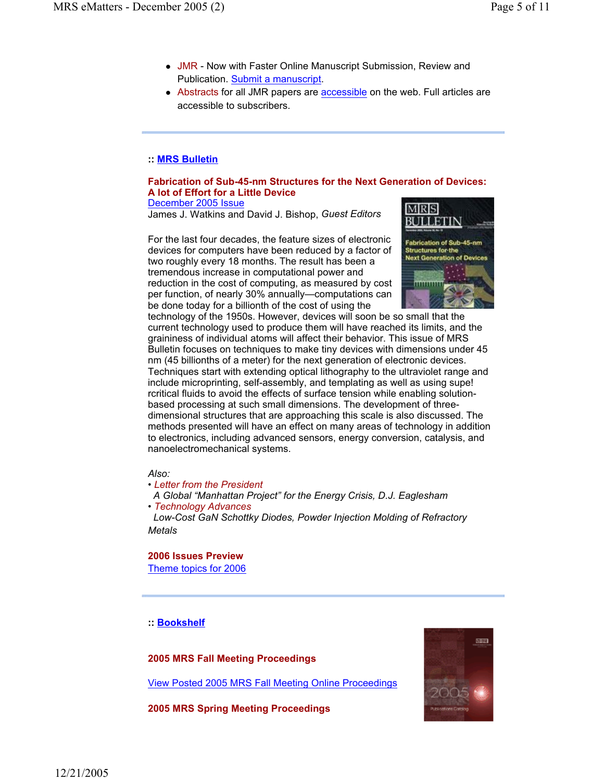- JMR Now with Faster Online Manuscript Submission, Review and Publication. Submit a manuscript.
- Abstracts for all JMR papers are accessible on the web. Full articles are accessible to subscribers.

#### **:: MRS Bulletin**

#### **Fabrication of Sub-45-nm Structures for the Next Generation of Devices: A lot of Effort for a Little Device** December 2005 Issue

James J. Watkins and David J. Bishop, *Guest Editors*

For the last four decades, the feature sizes of electronic devices for computers have been reduced by a factor of two roughly every 18 months. The result has been a tremendous increase in computational power and reduction in the cost of computing, as measured by cost per function, of nearly 30% annually—computations can be done today for a billionth of the cost of using the



technology of the 1950s. However, devices will soon be so small that the current technology used to produce them will have reached its limits, and the graininess of individual atoms will affect their behavior. This issue of MRS Bulletin focuses on techniques to make tiny devices with dimensions under 45 nm (45 billionths of a meter) for the next generation of electronic devices. Techniques start with extending optical lithography to the ultraviolet range and include microprinting, self-assembly, and templating as well as using supe! rcritical fluids to avoid the effects of surface tension while enabling solutionbased processing at such small dimensions. The development of threedimensional structures that are approaching this scale is also discussed. The methods presented will have an effect on many areas of technology in addition to electronics, including advanced sensors, energy conversion, catalysis, and nanoelectromechanical systems.

#### *Also:*

*• Letter from the President*

 *A Global "Manhattan Project" for the Energy Crisis, D.J. Eaglesham • Technology Advances*

 *Low-Cost GaN Schottky Diodes, Powder Injection Molding of Refractory Metals*

**2006 Issues Preview**  Theme topics for 2006

**:: Bookshelf**

**2005 MRS Fall Meeting Proceedings**

View Posted 2005 MRS Fall Meeting Online Proceedings

**2005 MRS Spring Meeting Proceedings**

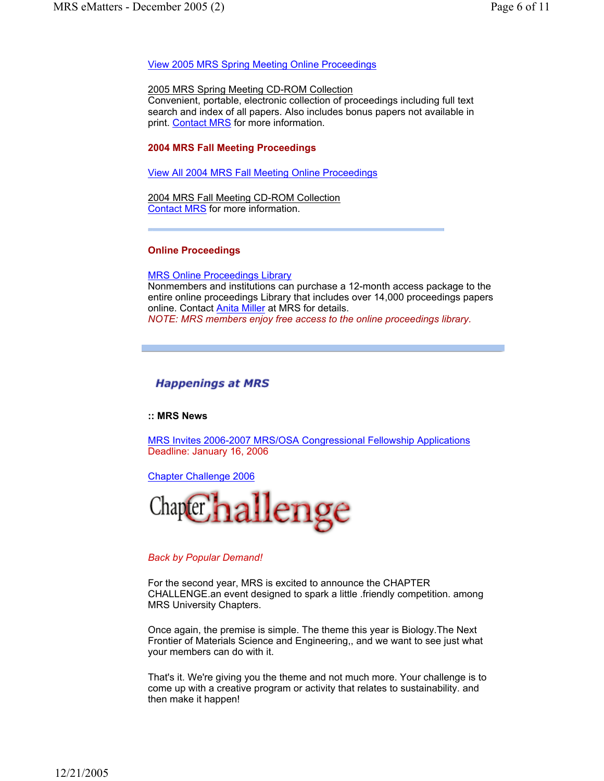#### View 2005 MRS Spring Meeting Online Proceedings

#### 2005 MRS Spring Meeting CD-ROM Collection

Convenient, portable, electronic collection of proceedings including full text search and index of all papers. Also includes bonus papers not available in print. Contact MRS for more information.

#### **2004 MRS Fall Meeting Proceedings**

View All 2004 MRS Fall Meeting Online Proceedings

2004 MRS Fall Meeting CD-ROM Collection Contact MRS for more information.

#### **Online Proceedings**

MRS Online Proceedings Library

Nonmembers and institutions can purchase a 12-month access package to the entire online proceedings Library that includes over 14,000 proceedings papers online. Contact **Anita Miller** at MRS for details. *NOTE: MRS members enjoy free access to the online proceedings library.*

# **Happenings at MRS**

#### **:: MRS News**

MRS Invites 2006-2007 MRS/OSA Congressional Fellowship Applications Deadline: January 16, 2006

Chapter Challenge 2006



#### *Back by Popular Demand!*

For the second year, MRS is excited to announce the CHAPTER CHALLENGE.an event designed to spark a little .friendly competition. among MRS University Chapters.

Once again, the premise is simple. The theme this year is Biology.The Next Frontier of Materials Science and Engineering,, and we want to see just what your members can do with it.

That's it. We're giving you the theme and not much more. Your challenge is to come up with a creative program or activity that relates to sustainability. and then make it happen!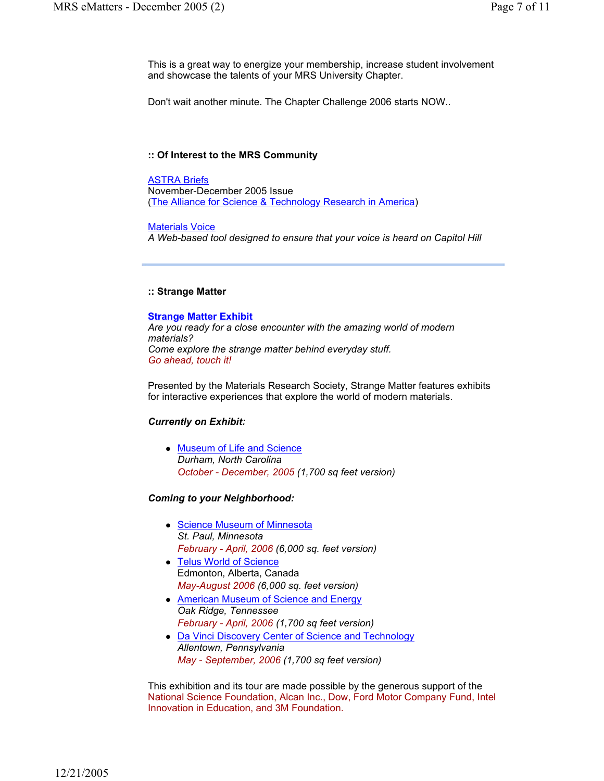This is a great way to energize your membership, increase student involvement and showcase the talents of your MRS University Chapter.

Don't wait another minute. The Chapter Challenge 2006 starts NOW..

#### **:: Of Interest to the MRS Community**

ASTRA Briefs November-December 2005 Issue (The Alliance for Science & Technology Research in America)

#### Materials Voice

*A Web-based tool designed to ensure that your voice is heard on Capitol Hill*

#### **:: Strange Matter**

#### **Strange Matter Exhibit**

*Are you ready for a close encounter with the amazing world of modern materials? Come explore the strange matter behind everyday stuff. Go ahead, touch it!*

Presented by the Materials Research Society, Strange Matter features exhibits for interactive experiences that explore the world of modern materials.

#### *Currently on Exhibit:*

• Museum of Life and Science *Durham, North Carolina October - December, 2005 (1,700 sq feet version)*

#### *Coming to your Neighborhood:*

- Science Museum of Minnesota *St. Paul, Minnesota February - April, 2006 (6,000 sq. feet version)*
- Telus World of Science Edmonton, Alberta, Canada *May-August 2006 (6,000 sq. feet version)*
- American Museum of Science and Energy *Oak Ridge, Tennessee February - April, 2006 (1,700 sq feet version)*
- Da Vinci Discovery Center of Science and Technology *Allentown, Pennsylvania May - September, 2006 (1,700 sq feet version)*

This exhibition and its tour are made possible by the generous support of the National Science Foundation, Alcan Inc., Dow, Ford Motor Company Fund, Intel Innovation in Education, and 3M Foundation.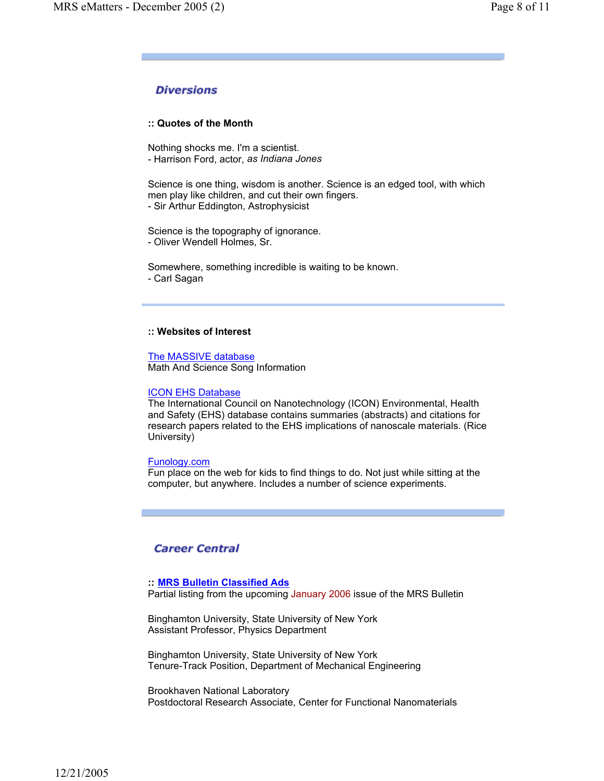# **Diversions**

#### **:: Quotes of the Month**

Nothing shocks me. I'm a scientist. - Harrison Ford, actor, *as Indiana Jones*

Science is one thing, wisdom is another. Science is an edged tool, with which men play like children, and cut their own fingers. - Sir Arthur Eddington, Astrophysicist

Science is the topography of ignorance. - Oliver Wendell Holmes, Sr.

Somewhere, something incredible is waiting to be known. - Carl Sagan

#### **:: Websites of Interest**

The MASSIVE database Math And Science Song Information

#### ICON EHS Database

The International Council on Nanotechnology (ICON) Environmental, Health and Safety (EHS) database contains summaries (abstracts) and citations for research papers related to the EHS implications of nanoscale materials. (Rice University)

#### Funology.com

Fun place on the web for kids to find things to do. Not just while sitting at the computer, but anywhere. Includes a number of science experiments.

# **Career Central**

#### **:: MRS Bulletin Classified Ads**

Partial listing from the upcoming January 2006 issue of the MRS Bulletin

Binghamton University, State University of New York Assistant Professor, Physics Department

Binghamton University, State University of New York Tenure-Track Position, Department of Mechanical Engineering

Brookhaven National Laboratory Postdoctoral Research Associate, Center for Functional Nanomaterials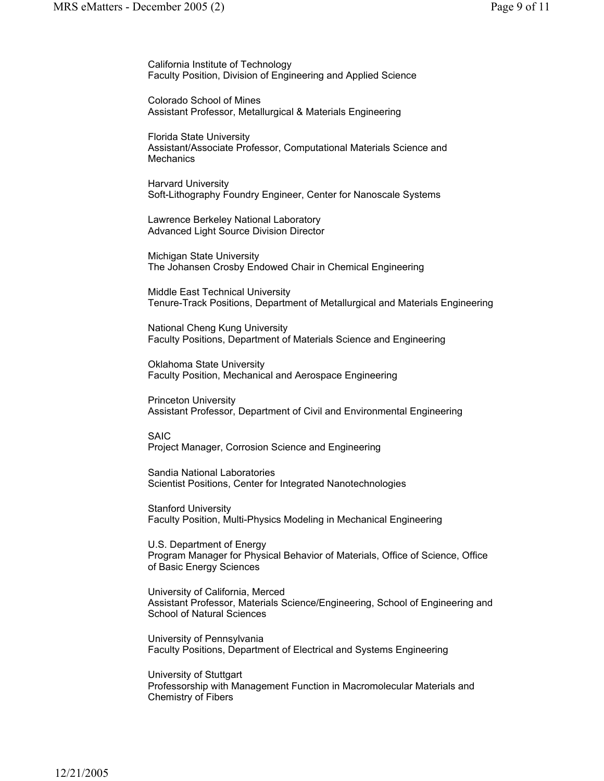California Institute of Technology Faculty Position, Division of Engineering and Applied Science

Colorado School of Mines Assistant Professor, Metallurgical & Materials Engineering

Florida State University Assistant/Associate Professor, Computational Materials Science and **Mechanics** 

Harvard University Soft-Lithography Foundry Engineer, Center for Nanoscale Systems

Lawrence Berkeley National Laboratory Advanced Light Source Division Director

Michigan State University The Johansen Crosby Endowed Chair in Chemical Engineering

Middle East Technical University Tenure-Track Positions, Department of Metallurgical and Materials Engineering

National Cheng Kung University Faculty Positions, Department of Materials Science and Engineering

Oklahoma State University Faculty Position, Mechanical and Aerospace Engineering

Princeton University Assistant Professor, Department of Civil and Environmental Engineering

SAIC Project Manager, Corrosion Science and Engineering

Sandia National Laboratories Scientist Positions, Center for Integrated Nanotechnologies

Stanford University Faculty Position, Multi-Physics Modeling in Mechanical Engineering

U.S. Department of Energy Program Manager for Physical Behavior of Materials, Office of Science, Office of Basic Energy Sciences

University of California, Merced Assistant Professor, Materials Science/Engineering, School of Engineering and School of Natural Sciences

University of Pennsylvania Faculty Positions, Department of Electrical and Systems Engineering

University of Stuttgart Professorship with Management Function in Macromolecular Materials and Chemistry of Fibers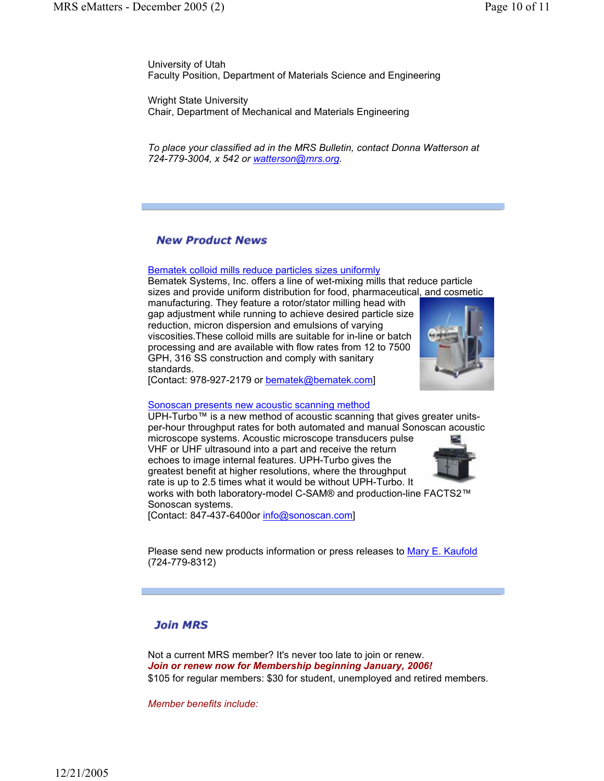University of Utah Faculty Position, Department of Materials Science and Engineering

Wright State University Chair, Department of Mechanical and Materials Engineering

*To place your classified ad in the MRS Bulletin, contact Donna Watterson at 724-779-3004, x 542 or watterson@mrs.org.*

# **New Product News**

#### Bematek colloid mills reduce particles sizes uniformly

Bematek Systems, Inc. offers a line of wet-mixing mills that reduce particle sizes and provide uniform distribution for food, pharmaceutical, and cosmetic

manufacturing. They feature a rotor/stator milling head with gap adjustment while running to achieve desired particle size reduction, micron dispersion and emulsions of varying viscosities.These colloid mills are suitable for in-line or batch processing and are available with flow rates from 12 to 7500 GPH, 316 SS construction and comply with sanitary standards.



[Contact: 978-927-2179 or bematek@bematek.com]

#### Sonoscan presents new acoustic scanning method

UPH-Turbo™ is a new method of acoustic scanning that gives greater unitsper-hour throughput rates for both automated and manual Sonoscan acoustic microscope systems. Acoustic microscope transducers pulse VHF or UHF ultrasound into a part and receive the return

echoes to image internal features. UPH-Turbo gives the greatest benefit at higher resolutions, where the throughput rate is up to 2.5 times what it would be without UPH-Turbo. It



works with both laboratory-model C-SAM® and production-line FACTS2™ Sonoscan systems.

[Contact: 847-437-6400or info@sonoscan.com]

Please send new products information or press releases to Mary E. Kaufold (724-779-8312)

# **Join MRS**

Not a current MRS member? It's never too late to join or renew. *Join or renew now for Membership beginning January, 2006!* \$105 for regular members: \$30 for student, unemployed and retired members.

*Member benefits include:*